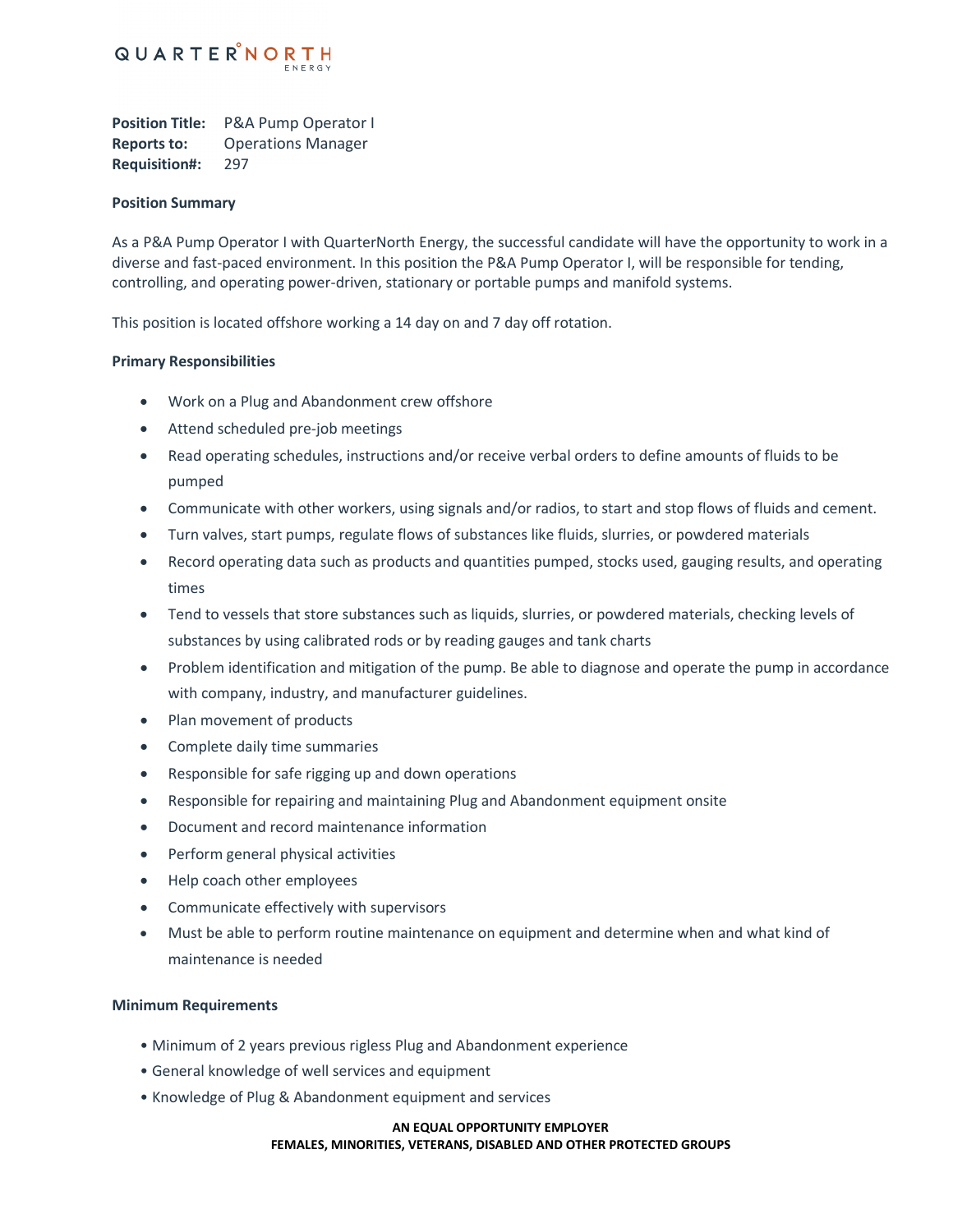

**Position Title:** P&A Pump Operator I **Reports to:** Operations Manager **Requisition#:** 297

### **Position Summary**

As a P&A Pump Operator I with QuarterNorth Energy, the successful candidate will have the opportunity to work in a diverse and fast-paced environment. In this position the P&A Pump Operator I, will be responsible for tending, controlling, and operating power-driven, stationary or portable pumps and manifold systems.

This position is located offshore working a 14 day on and 7 day off rotation.

## **Primary Responsibilities**

- Work on a Plug and Abandonment crew offshore
- Attend scheduled pre-job meetings
- Read operating schedules, instructions and/or receive verbal orders to define amounts of fluids to be pumped
- Communicate with other workers, using signals and/or radios, to start and stop flows of fluids and cement.
- Turn valves, start pumps, regulate flows of substances like fluids, slurries, or powdered materials
- Record operating data such as products and quantities pumped, stocks used, gauging results, and operating times
- Tend to vessels that store substances such as liquids, slurries, or powdered materials, checking levels of substances by using calibrated rods or by reading gauges and tank charts
- Problem identification and mitigation of the pump. Be able to diagnose and operate the pump in accordance with company, industry, and manufacturer guidelines.
- Plan movement of products
- Complete daily time summaries
- Responsible for safe rigging up and down operations
- Responsible for repairing and maintaining Plug and Abandonment equipment onsite
- Document and record maintenance information
- Perform general physical activities
- Help coach other employees
- Communicate effectively with supervisors
- Must be able to perform routine maintenance on equipment and determine when and what kind of maintenance is needed

#### **Minimum Requirements**

- Minimum of 2 years previous rigless Plug and Abandonment experience
- General knowledge of well services and equipment
- Knowledge of Plug & Abandonment equipment and services

#### **AN EQUAL OPPORTUNITY EMPLOYER**

**FEMALES, MINORITIES, VETERANS, DISABLED AND OTHER PROTECTED GROUPS**